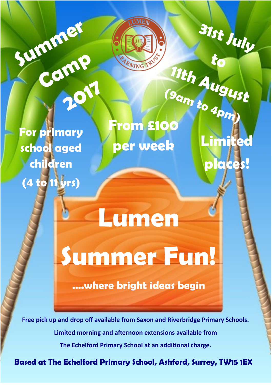**For primary school aged children (4 to 11 yrs)**

Summer **Crew** 

Camp

**2017**

# **(9am to 4pm) From £100 per week**

ARNING

**31st July** 

**Limited** 

**places!**

**to** 

**11th August**

**Summer Fun!**

**Lumen** 

**….where bright ideas begin**

**Free pick up and drop off available from Saxon and Riverbridge Primary Schools. Limited morning and afternoon extensions available from The Echelford Primary School at an additional charge.**

**Based at The Echelford Primary School, Ashford, Surrey, TW15 1EX**